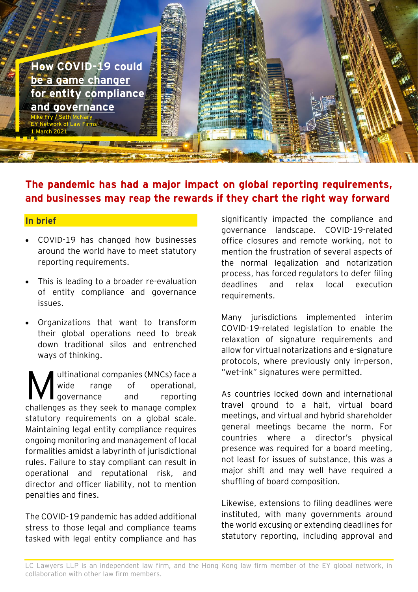

# **The pandemic has had a major impact on global reporting requirements, and businesses may reap the rewards if they chart the right way forward**

## **In brief**

- COVID-19 has changed how businesses around the world have to meet statutory reporting requirements.
- This is leading to a broader re-evaluation of entity compliance and governance issues.
- Organizations that want to transform their global operations need to break down traditional silos and entrenched ways of thinking.

ultinational companies (MNCs) face a wide range of operational, **l** governance and reporting challenges as they seek to manage complex statutory requirements on a global scale. Maintaining legal entity compliance requires ongoing monitoring and management of local formalities amidst a labyrinth of jurisdictional rules. Failure to stay compliant can result in operational and reputational risk, and director and officer liability, not to mention penalties and fines. M

The COVID-19 pandemic has added additional stress to those legal and compliance teams tasked with legal entity compliance and has

significantly impacted the compliance and governance landscape. COVID-19-related office closures and remote working, not to mention the frustration of several aspects of the normal legalization and notarization process, has forced regulators to defer filing deadlines and relax local execution requirements.

Many jurisdictions implemented interim COVID-19-related legislation to enable the relaxation of signature requirements and allow for virtual notarizations and e-signature protocols, where previously only in-person, "wet-ink" signatures were permitted.

As countries locked down and international travel ground to a halt, virtual board meetings, and virtual and hybrid shareholder general meetings became the norm. For countries where a director's physical presence was required for a board meeting, not least for issues of substance, this was a major shift and may well have required a shuffling of board composition.

Likewise, extensions to filing deadlines were instituted, with many governments around the world excusing or extending deadlines for statutory reporting, including approval and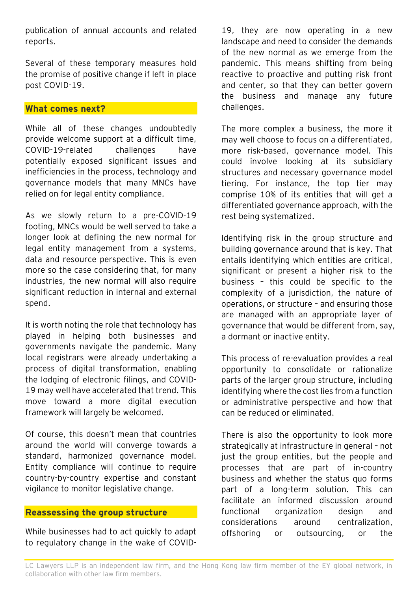publication of annual accounts and related reports.

Several of these temporary measures hold the promise of positive change if left in place post COVID-19.

## **What comes next?**

While all of these changes undoubtedly provide welcome support at a difficult time, COVID-19-related challenges have potentially exposed significant issues and inefficiencies in the process, technology and governance models that many MNCs have relied on for legal entity compliance.

As we slowly return to a pre-COVID-19 footing, MNCs would be well served to take a longer look at defining the new normal for legal entity management from a systems, data and resource perspective. This is even more so the case considering that, for many industries, the new normal will also require significant reduction in internal and external spend.

It is worth noting the role that technology has played in helping both businesses and governments navigate the pandemic. Many local registrars were already undertaking a process of digital transformation, enabling the lodging of electronic filings, and COVID-19 may well have accelerated that trend. This move toward a more digital execution framework will largely be welcomed.

Of course, this doesn't mean that countries around the world will converge towards a standard, harmonized governance model. Entity compliance will continue to require country-by-country expertise and constant vigilance to monitor legislative change.

## **Reassessing the group structure**

While businesses had to act quickly to adapt to regulatory change in the wake of COVID-

19, they are now operating in a new landscape and need to consider the demands of the new normal as we emerge from the pandemic. This means shifting from being reactive to proactive and putting risk front and center, so that they can better govern the business and manage any future challenges.

The more complex a business, the more it may well choose to focus on a differentiated, more risk-based, governance model. This could involve looking at its subsidiary structures and necessary governance model tiering. For instance, the top tier may comprise 10% of its entities that will get a differentiated governance approach, with the rest being systematized.

Identifying risk in the group structure and building governance around that is key. That entails identifying which entities are critical, significant or present a higher risk to the business – this could be specific to the complexity of a jurisdiction, the nature of operations, or structure – and ensuring those are managed with an appropriate layer of governance that would be different from, say, a dormant or inactive entity.

This process of re-evaluation provides a real opportunity to consolidate or rationalize parts of the larger group structure, including identifying where the cost lies from a function or administrative perspective and how that can be reduced or eliminated.

There is also the opportunity to look more strategically at infrastructure in general – not just the group entities, but the people and processes that are part of in-country business and whether the status quo forms part of a long-term solution. This can facilitate an informed discussion around functional organization design and considerations around centralization, offshoring or outsourcing, or the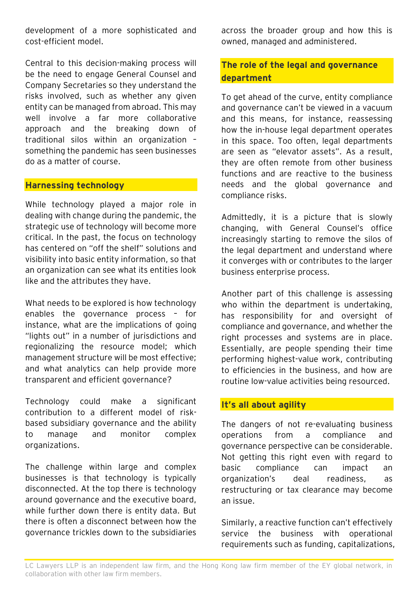development of a more sophisticated and cost-efficient model.

Central to this decision-making process will be the need to engage General Counsel and Company Secretaries so they understand the risks involved, such as whether any given entity can be managed from abroad. This may well involve a far more collaborative approach and the breaking down of traditional silos within an organization – something the pandemic has seen businesses do as a matter of course.

## **Harnessing technology**

While technology played a major role in dealing with change during the pandemic, the strategic use of technology will become more critical. In the past, the focus on technology has centered on "off the shelf" solutions and visibility into basic entity information, so that an organization can see what its entities look like and the attributes they have.

What needs to be explored is how technology enables the governance process – for instance, what are the implications of going "lights out" in a number of jurisdictions and regionalizing the resource model; which management structure will be most effective; and what analytics can help provide more transparent and efficient governance?

Technology could make a significant contribution to a different model of riskbased subsidiary governance and the ability to manage and monitor complex organizations.

The challenge within large and complex businesses is that technology is typically disconnected. At the top there is technology around governance and the executive board, while further down there is entity data. But there is often a disconnect between how the governance trickles down to the subsidiaries

across the broader group and how this is owned, managed and administered.

## **The role of the legal and governance department**

To get ahead of the curve, entity compliance and governance can't be viewed in a vacuum and this means, for instance, reassessing how the in-house legal department operates in this space. Too often, legal departments are seen as "elevator assets". As a result, they are often remote from other business functions and are reactive to the business needs and the global governance and compliance risks.

Admittedly, it is a picture that is slowly changing, with General Counsel's office increasingly starting to remove the silos of the legal department and understand where it converges with or contributes to the larger business enterprise process.

Another part of this challenge is assessing who within the department is undertaking. has responsibility for and oversight of compliance and governance, and whether the right processes and systems are in place. Essentially, are people spending their time performing highest-value work, contributing to efficiencies in the business, and how are routine low-value activities being resourced.

## **It's all about agility**

The dangers of not re-evaluating business operations from a compliance and governance perspective can be considerable. Not getting this right even with regard to basic compliance can impact an organization's deal readiness, as restructuring or tax clearance may become an issue.

Similarly, a reactive function can't effectively service the business with operational requirements such as funding, capitalizations,